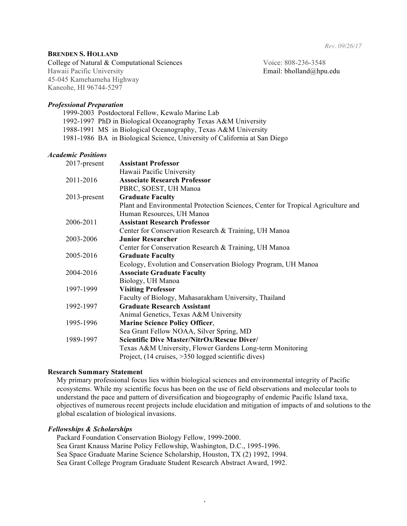*Rev. 09/26/17*

## **BRENDEN S. HOLLAND**

College of Natural & Computational Sciences Voice: 808-236-3548 Hawaii Pacific University Email: bholland@hpu.edu 45-045 Kamehameha Highway Kaneohe, HI 96744-5297

### *Professional Preparation*

1999-2003 Postdoctoral Fellow, Kewalo Marine Lab 1992-1997 PhD in Biological Oceanography Texas A&M University 1988-1991 MS in Biological Oceanography, Texas A&M University 1981-1986 BA in Biological Science, University of California at San Diego

## *Academic Positions*

| 2017-present | <b>Assistant Professor</b>                                                       |
|--------------|----------------------------------------------------------------------------------|
|              | Hawaii Pacific University                                                        |
| 2011-2016    | <b>Associate Research Professor</b>                                              |
|              | PBRC, SOEST, UH Manoa                                                            |
| 2013-present | <b>Graduate Faculty</b>                                                          |
|              | Plant and Environmental Protection Sciences, Center for Tropical Agriculture and |
|              | Human Resources, UH Manoa                                                        |
| 2006-2011    | <b>Assistant Research Professor</b>                                              |
|              | Center for Conservation Research & Training, UH Manoa                            |
| 2003-2006    | <b>Junior Researcher</b>                                                         |
|              | Center for Conservation Research & Training, UH Manoa                            |
| 2005-2016    | <b>Graduate Faculty</b>                                                          |
|              | Ecology, Evolution and Conservation Biology Program, UH Manoa                    |
| 2004-2016    | <b>Associate Graduate Faculty</b>                                                |
|              | Biology, UH Manoa                                                                |
| 1997-1999    | <b>Visiting Professor</b>                                                        |
|              | Faculty of Biology, Mahasarakham University, Thailand                            |
| 1992-1997    | <b>Graduate Research Assistant</b>                                               |
|              | Animal Genetics, Texas A&M University                                            |
| 1995-1996    | <b>Marine Science Policy Officer,</b>                                            |
|              | Sea Grant Fellow NOAA, Silver Spring, MD                                         |
| 1989-1997    | Scientific Dive Master/NitrOx/Rescue Diver/                                      |
|              | Texas A&M University, Flower Gardens Long-term Monitoring                        |
|              | Project, (14 cruises, >350 logged scientific dives)                              |

### **Research Summary Statement**

My primary professional focus lies within biological sciences and environmental integrity of Pacific ecosystems. While my scientific focus has been on the use of field observations and molecular tools to understand the pace and pattern of diversification and biogeography of endemic Pacific Island taxa, objectives of numerous recent projects include elucidation and mitigation of impacts of and solutions to the global escalation of biological invasions.

1

# *Fellowships & Scholarships*

Packard Foundation Conservation Biology Fellow, 1999-2000. Sea Grant Knauss Marine Policy Fellowship, Washington, D.C., 1995-1996. Sea Space Graduate Marine Science Scholarship, Houston, TX (2) 1992, 1994. Sea Grant College Program Graduate Student Research Abstract Award, 1992.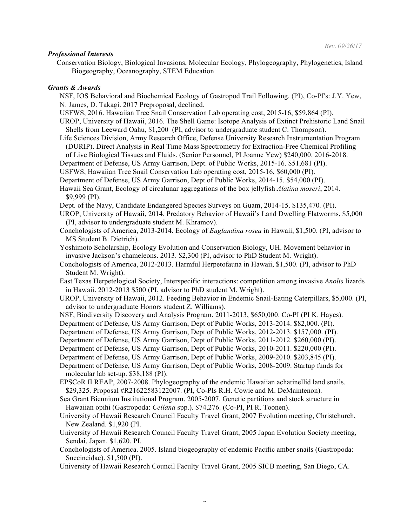#### *Professional Interests*

Conservation Biology, Biological Invasions, Molecular Ecology, Phylogeography, Phylogenetics, Island Biogeography, Oceanography, STEM Education

#### *Grants & Awards*

- NSF, IOS Behavioral and Biochemical Ecology of Gastropod Trail Following. (PI), Co-PI's: J.Y. Yew, N. James, D. Takagi. 2017 Preproposal, declined.
- USFWS, 2016. Hawaiian Tree Snail Conservation Lab operating cost, 2015-16, \$59,864 (PI).
- UROP, University of Hawaii, 2016. The Shell Game: Isotope Analysis of Extinct Prehistoric Land Snail Shells from Leeward Oahu, \$1,200 (PI, advisor to undergraduate student C. Thompson).
- Life Sciences Division, Army Research Office, Defense University Research Instrumentation Program (DURIP). Direct Analysis in Real Time Mass Spectrometry for Extraction-Free Chemical Profiling
- of Live Biological Tissues and Fluids. (Senior Personnel, PI Joanne Yew) \$240,000. 2016-2018.
- Department of Defense, US Army Garrison, Dept. of Public Works, 2015-16. \$51,681 (PI).
- USFWS, Hawaiian Tree Snail Conservation Lab operating cost, 2015-16, \$60,000 (PI).
- Department of Defense, US Army Garrison, Dept of Public Works, 2014-15. \$54,000 (PI).
- Hawaii Sea Grant, Ecology of circalunar aggregations of the box jellyfish *Alatina moseri*, 2014. \$9,999 (PI).
- Dept. of the Navy, Candidate Endangered Species Surveys on Guam, 2014-15. \$135,470*.* (PI).
- UROP, University of Hawaii, 2014. Predatory Behavior of Hawaii's Land Dwelling Flatworms, \$5,000 (PI, advisor to undergraduate student M. Khramov).
- Conchologists of America, 2013-2014. Ecology of *Euglandina rosea* in Hawaii, \$1,500. (PI, advisor to MS Student B. Dietrich).
- Yoshimoto Scholarship, Ecology Evolution and Conservation Biology, UH. Movement behavior in invasive Jackson's chameleons. 2013. \$2,300 (PI, advisor to PhD Student M. Wright).
- Conchologists of America, 2012-2013. Harmful Herpetofauna in Hawaii, \$1,500. (PI, advisor to PhD Student M. Wright).
- East Texas Herpetelogical Society, Interspecific interactions: competition among invasive *Anolis* lizards in Hawaii. 2012-2013 \$500 (PI, advisor to PhD student M. Wright).
- UROP, University of Hawaii, 2012. Feeding Behavior in Endemic Snail-Eating Caterpillars, \$5,000. (PI, advisor to undergraduate Honors student Z. Williams).
- NSF, Biodiversity Discovery and Analysis Program. 2011-2013, \$650,000. Co-PI (PI K. Hayes).
- Department of Defense, US Army Garrison, Dept of Public Works, 2013-2014. \$82,000. (PI).
- Department of Defense, US Army Garrison, Dept of Public Works, 2012-2013. \$157,000. (PI).
- Department of Defense, US Army Garrison, Dept of Public Works, 2011-2012. \$260,000 (PI).
- Department of Defense, US Army Garrison, Dept of Public Works, 2010-2011. \$220,000 (PI).
- Department of Defense, US Army Garrison, Dept of Public Works, 2009-2010. \$203,845 (PI).
- Department of Defense, US Army Garrison, Dept of Public Works, 2008-2009. Startup funds for molecular lab set-up. \$38,188 (PI).
- EPSCoR II REAP, 2007-2008. Phylogeography of the endemic Hawaiian achatinellid land snails. \$29,325. Proposal #R21622583122007. (PI, Co-PIs R.H. Cowie and M. DeMaintenon).
- Sea Grant Biennium Institutional Program. 2005-2007. Genetic partitions and stock structure in Hawaiian opihi (Gastropoda: *Cellana* spp.). \$74,276. (Co-PI, PI R. Toonen).
- University of Hawaii Research Council Faculty Travel Grant, 2007 Evolution meeting, Christchurch, New Zealand. \$1,920 (PI.
- University of Hawaii Research Council Faculty Travel Grant, 2005 Japan Evolution Society meeting, Sendai, Japan. \$1,620. PI.
- Conchologists of America. 2005. Island biogeography of endemic Pacific amber snails (Gastropoda: Succineidae). \$1,500 (PI).
- University of Hawaii Research Council Faculty Travel Grant, 2005 SICB meeting, San Diego, CA.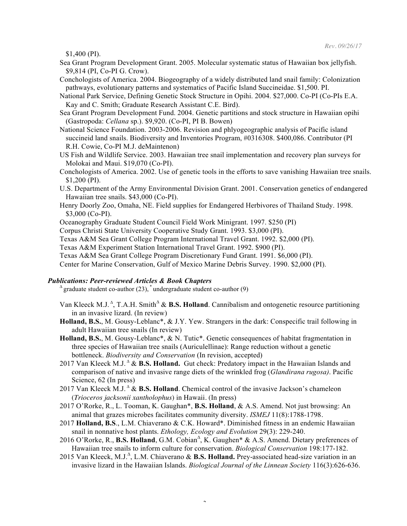\$1,400 (PI).

- Sea Grant Program Development Grant. 2005. Molecular systematic status of Hawaiian box jellyfish. \$9,814 (PI, Co-PI G. Crow).
- Conchologists of America. 2004. Biogeography of a widely distributed land snail family: Colonization pathways, evolutionary patterns and systematics of Pacific Island Succineidae. \$1,500. PI.
- National Park Service, Defining Genetic Stock Structure in Opihi. 2004. \$27,000. Co-PI (Co-PIs E.A. Kay and C. Smith; Graduate Research Assistant C.E. Bird).
- Sea Grant Program Development Fund. 2004. Genetic partitions and stock structure in Hawaiian opihi (Gastropoda: *Cellana* sp.). \$9,920. (Co-PI, PI B. Bowen)
- National Science Foundation. 2003-2006. Revision and phlyogeographic analysis of Pacific island succineid land snails. Biodiversity and Inventories Program, #0316308. \$400,086. Contributor (PI R.H. Cowie, Co-PI M.J. deMaintenon)
- US Fish and Wildlife Service. 2003. Hawaiian tree snail implementation and recovery plan surveys for Molokai and Maui. \$19,070 (Co-PI).
- Conchologists of America. 2002. Use of genetic tools in the efforts to save vanishing Hawaiian tree snails. \$1,200 (PI).
- U.S. Department of the Army Environmental Division Grant. 2001. Conservation genetics of endangered Hawaiian tree snails. \$43,000 (Co-PI).
- Henry Doorly Zoo, Omaha, NE. Field supplies for Endangered Herbivores of Thailand Study. 1998. \$3,000 (Co-PI).

Oceanography Graduate Student Council Field Work Minigrant. 1997. \$250 (PI)

- Corpus Christi State University Cooperative Study Grant. 1993. \$3,000 (PI).
- Texas A&M Sea Grant College Program International Travel Grant. 1992. \$2,000 (PI).

Texas A&M Experiment Station International Travel Grant. 1992. \$900 (PI).

Texas A&M Sea Grant College Program Discretionary Fund Grant. 1991. \$6,000 (PI).

Center for Marine Conservation, Gulf of Mexico Marine Debris Survey. 1990. \$2,000 (PI).

*Publications: Peer-reviewed Articles & Book Chapters*<br>
∆ graduate student co-author (23), \*undergraduate student co-author (9)

- Van Kleeck M.J.<sup>∆</sup>, T.A.H. Smith<sup>∆</sup> & **B.S. Holland**. Cannibalism and ontogenetic resource partitioning in an invasive lizard. (In review)
- **Holland, B.S.**, M. Gousy-Leblanc\*, & J.Y. Yew. Strangers in the dark: Conspecific trail following in adult Hawaiian tree snails (In review)
- **Holland, B.S.**, M. Gousy-Leblanc\*, & N. Tutic\*. Genetic consequences of habitat fragmentation in three species of Hawaiian tree snails (Auriculellinae): Range reduction without a genetic bottleneck. *Biodiversity and Conservation* (In revision, accepted)
- 2017 Van Kleeck M.J. <sup>∆</sup> & **B.S. Holland.** Gut check: Predatory impact in the Hawaiian Islands and comparison of native and invasive range diets of the wrinkled frog (*Glandirana rugosa)*. Pacific Science, 62 (In press)
- 2017 Van Kleeck M.J. **<sup>∆</sup>** & **B.S. Holland**. Chemical control of the invasive Jackson's chameleon (*Trioceros jacksonii xantholophus*) in Hawaii. (In press)
- 2017 O'Rorke, R., L. Tooman, K. Gaughan\*, **B.S. Holland**, & A.S. Amend. Not just browsing: An animal that grazes microbes facilitates community diversity. *ISMEJ* 11(8):1788-1798.
- 2017 **Holland, B.S**., L.M. Chiaverano & C.K. Howard\*. Diminished fitness in an endemic Hawaiian snail in nonnative host plants. *Ethology, Ecology and Evolution* 29(3): 229-240.
- 2016 O'Rorke, R., B.S. Holland, G.M. Cobian<sup>∆</sup>, K. Gaughen<sup>\*</sup> & A.S. Amend. Dietary preferences of Hawaiian tree snails to inform culture for conservation. *Biological Conservation* 198:177-182.
- 2015 Van Kleeck, M.J.<sup>∆</sup>, L.M. Chiaverano & **B.S. Holland.** Prey-associated head-size variation in an invasive lizard in the Hawaiian Islands. *Biological Journal of the Linnean Society* 116(3):626-636.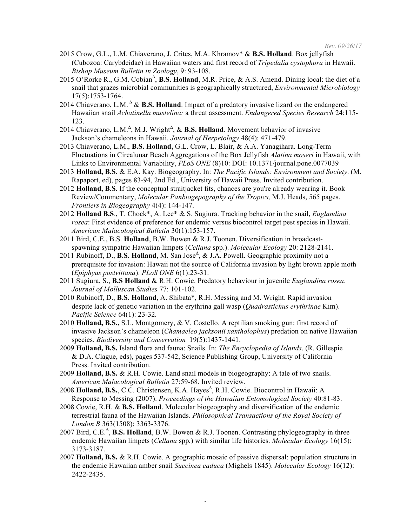- 2015 Crow, G.L., L.M. Chiaverano, J. Crites, M.A. Khramov\* & **B.S. Holland**. Box jellyfish (Cubozoa: Carybdeidae) in Hawaiian waters and first record of *Tripedalia cystophora* in Hawaii. *Bishop Museum Bulletin in Zoology*, 9: 93-108.
- 2015 O'Rorke R., G.M. Cobian<sup>∆</sup>, **B.S. Holland**, M.R. Price, & A.S. Amend. Dining local: the diet of a snail that grazes microbial communities is geographically structured, *Environmental Microbiology* 17(5):1753-1764.
- 2014 Chiaverano, L.M. <sup>∆</sup> & **B.S. Holland**. Impact of a predatory invasive lizard on the endangered Hawaiian snail *Achatinella mustelina:* a threat assessment. *Endangered Species Research* 24:115- 123.
- 2014 Chiaverano, L.M.<sup> $\triangle$ </sup>, M.J. Wright<sup> $\triangle$ </sup>, & **B.S. Holland**. Movement behavior of invasive Jackson's chameleons in Hawaii. *Journal of Herpetology* 48(4): 471-479.
- 2013 Chiaverano, L.M., **B.S. Holland,** G.L. Crow, L. Blair, & A.A. Yanagihara. Long-Term Fluctuations in Circalunar Beach Aggregations of the Box Jellyfish *Alatina moseri* in Hawaii, with Links to Environmental Variability, *PLoS ONE* (8)10: DOI: 10.1371/journal.pone.0077039
- 2013 **Holland, B.S.** & E.A. Kay. Biogeography. In: *The Pacific Islands: Environment and Society*. (M. Rapaport, ed), pages 83-94, 2nd Ed., University of Hawaii Press. Invited contribution.
- 2012 **Holland, B.S.** If the conceptual straitjacket fits, chances are you're already wearing it. Book Review/Commentary, *Molecular Panbiogepography of the Tropics,* M.J. Heads, 565 pages. *Frontiers in Biogeography* 4(4): 144-147.
- 2012 **Holland B.S**., T. Chock\*, A. Lee\* & S. Sugiura. Tracking behavior in the snail, *Euglandina rosea*: First evidence of preference for endemic versus biocontrol target pest species in Hawaii. *American Malacological Bulletin* 30(1):153-157.
- 2011 Bird, C.E., B.S. **Holland**, B.W. Bowen & R.J. Toonen. Diversification in broadcastspawning sympatric Hawaiian limpets (*Cellana* spp.). *Molecular Ecology* 20: 2128-2141.
- 2011 Rubinoff, D., **B.S. Holland**, M. San Jose<sup>∆</sup> , & J.A. Powell. Geographic proximity not a prerequisite for invasion: Hawaii not the source of California invasion by light brown apple moth (*Epiphyas postvittana*). *PLoS ONE* 6(1):23-31.
- 2011 Sugiura, S., **B.S Holland** & R.H. Cowie. Predatory behaviour in juvenile *Euglandina rosea*. *Journal of Molluscan Studies* 77: 101-102.
- 2010 Rubinoff, D., **B.S. Holland**, A. Shibata\*, R.H. Messing and M. Wright. Rapid invasion despite lack of genetic variation in the erythrina gall wasp (*Quadrastichus erythrinae* Kim). *Pacific Science* 64(1): 23-32*.*
- 2010 **Holland, B.S.,** S.L. Montgomery, & V. Costello. A reptilian smoking gun: first record of invasive Jackson's chameleon (*Chamaeleo jacksonii xantholophus*) predation on native Hawaiian species. *Biodiversity and Conservation* 19(5):1437-1441.
- 2009 **Holland, B.S.** Island flora and fauna: Snails. In: *The Encyclopedia of Islands*. (R. Gillespie & D.A. Clague, eds), pages 537-542, Science Publishing Group, University of California Press. Invited contribution.
- 2009 **Holland, B.S.** & R.H. Cowie. Land snail models in biogeography: A tale of two snails. *American Malacological Bulletin* 27:59-68. Invited review.
- 2008 Holland, B.S., C.C. Christensen, K.A. Hayes<sup>∆</sup>, R.H. Cowie. Biocontrol in Hawaii: A Response to Messing (2007). *Proceedings of the Hawaiian Entomological Society* 40:81-83.
- 2008 Cowie, R.H. & **B.S. Holland**. Molecular biogeography and diversification of the endemic terrestrial fauna of the Hawaiian Islands. *Philosophical Transactions of the Royal Society of London B* 363(1508): 3363-3376.
- 2007 Bird, C.E.<sup>∆</sup>, **B.S. Holland**, B.W. Bowen & R.J. Toonen. Contrasting phylogeography in three endemic Hawaiian limpets (*Cellana* spp*.*) with similar life histories. *Molecular Ecology* 16(15): 3173-3187.
- 2007 **Holland, B.S.** & R.H. Cowie. A geographic mosaic of passive dispersal: population structure in the endemic Hawaiian amber snail *Succinea caduca* (Mighels 1845). *Molecular Ecology* 16(12): 2422-2435.

 $\overline{a}$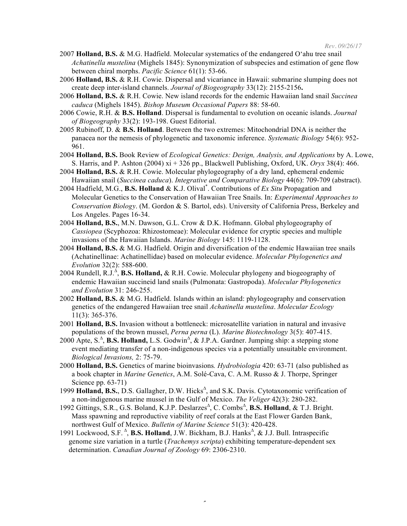- 2007 **Holland, B.S.** & M.G. Hadfield. Molecular systematics of the endangered O'ahu tree snail *Achatinella mustelina* (Mighels 1845): Synonymization of subspecies and estimation of gene flow between chiral morphs. *Pacific Science* 61(1): 53-66.
- 2006 **Holland, B.S.** & R.H. Cowie. Dispersal and vicariance in Hawaii: submarine slumping does not create deep inter-island channels. *Journal of Biogeography* 33(12): 2155-2156**.**
- 2006 **Holland, B.S.** & R.H. Cowie. New island records for the endemic Hawaiian land snail *Succinea caduca* (Mighels 1845). *Bishop Museum Occasional Papers* 88: 58-60.
- 2006 Cowie, R.H. & **B.S. Holland**. Dispersal is fundamental to evolution on oceanic islands. *Journal of Biogeography* 33(2): 193-198. Guest Editorial.
- 2005 Rubinoff, D. & **B.S. Holland**. Between the two extremes: Mitochondrial DNA is neither the panacea nor the nemesis of phylogenetic and taxonomic inference. *Systematic Biology* 54(6): 952- 961.
- 2004 **Holland, B.S.** Book Review of *Ecological Genetics: Design, Analysis, and Applications* by A. Lowe, S. Harris, and P. Ashton (2004) xi + 326 pp., Blackwell Publishing, Oxford, UK. *Oryx* 38(4): 466.
- 2004 **Holland, B.S.** & R.H. Cowie. Molecular phylogeography of a dry land, ephemeral endemic Hawaiian snail (*Succinea caduca*). *Integrative and Comparative Biology* 44(6): 709-709 (abstract).
- 2004 Hadfield, M.G., **B.S. Holland** & K.J. Olival\* . Contributions of *Ex Situ* Propagation and Molecular Genetics to the Conservation of Hawaiian Tree Snails. In: *Experimental Approaches to Conservation Biology*. (M. Gordon & S. Bartol, eds). University of California Press, Berkeley and Los Angeles. Pages 16-34.
- 2004 **Holland, B.S.**, M.N. Dawson, G.L. Crow & D.K. Hofmann. Global phylogeography of *Cassiopea* (Scyphozoa: Rhizostomeae): Molecular evidence for cryptic species and multiple invasions of the Hawaiian Islands. *Marine Biology* 145: 1119-1128.
- 2004 **Holland, B.S.** & M.G. Hadfield. Origin and diversification of the endemic Hawaiian tree snails (Achatinellinae: Achatinellidae) based on molecular evidence. *Molecular Phylogenetics and Evolution* 32(2): 588-600.
- 2004 Rundell, R.J.<sup>∆</sup>, **B.S. Holland, &** R.H. Cowie. Molecular phylogeny and biogeography of endemic Hawaiian succineid land snails (Pulmonata: Gastropoda). *Molecular Phylogenetics and Evolution* 31: 246-255.
- 2002 **Holland, B.S.** & M.G. Hadfield. Islands within an island: phylogeography and conservation genetics of the endangered Hawaiian tree snail *Achatinella mustelina*. *Molecular Ecology* 11(3): 365-376.
- 2001 **Holland, B.S.** Invasion without a bottleneck: microsatellite variation in natural and invasive populations of the brown mussel, *Perna perna* (L). *Marine Biotechnology* 3(5): 407-415.
- 2000 Apte, S.<sup>∆</sup>, **B.S. Holland,** L.S. Godwin<sup>∆</sup>, & J.P.A. Gardner. Jumping ship: a stepping stone event mediating transfer of a non-indigenous species via a potentially unsuitable environment. *Biological Invasions,* 2: 75-79.
- 2000 **Holland, B.S.** Genetics of marine bioinvasions*. Hydrobiologia* 420: 63-71 (also published as a book chapter in *Marine Genetics*, A.M. Solé-Cava, C. A.M. Russo & J. Thorpe, Springer Science pp. 63-71)
- 1999 Holland, B.S., D.S. Gallagher, D.W. Hicks<sup>∆</sup>, and S.K. Davis. Cytotaxonomic verification of a non-indigenous marine mussel in the Gulf of Mexico. *The Veliger* 42(3): 280-282.
- 1992 Gittings, S.R., G.S. Boland, K.J.P. Deslarzes<sup>∆</sup>, C. Combs<sup>∆</sup>, B.S. Holland, & T.J. Bright. Mass spawning and reproductive viability of reef corals at the East Flower Garden Bank, northwest Gulf of Mexico. *Bulletin of Marine Science* 51(3): 420-428.
- 1991 Lockwood, S.F.<sup>∆</sup>, **B.S. Holland**, J.W. Bickham, B.J. Hanks<sup>∆</sup>, & J.J. Bull. Intraspecific genome size variation in a turtle (*Trachemys scripta*) exhibiting temperature-dependent sex determination. *Canadian Journal of Zoology* 69: 2306-2310.

 $\overline{a}$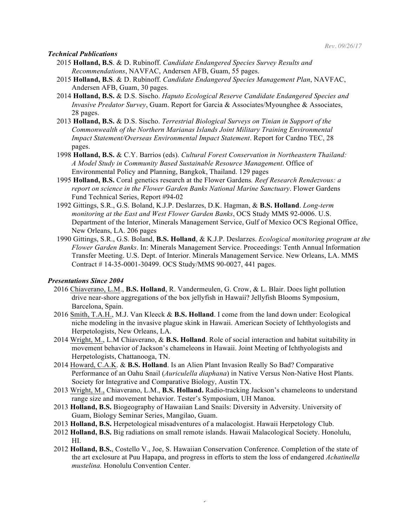#### *Technical Publications*

- 2015 **Holland, B.S**. & D. Rubinoff. *Candidate Endangered Species Survey Results and Recommendations*, NAVFAC, Andersen AFB, Guam, 55 pages.
- 2015 **Holland, B.S**. & D. Rubinoff. *Candidate Endangered Species Management Plan*, NAVFAC, Andersen AFB, Guam, 30 pages.
- 2014 **Holland, B.S.** & D.S. Sischo. *Haputo Ecological Reserve Candidate Endangered Species and Invasive Predator Survey*, Guam. Report for Garcia & Associates/Myounghee & Associates, 28 pages.
- 2013 **Holland, B.S.** & D.S. Sischo. *Terrestrial Biological Surveys on Tinian in Support of the Commonwealth of the Northern Marianas Islands Joint Military Training Environmental Impact Statement/Overseas Environmental Impact Statement*. Report for Cardno TEC, 28 pages.
- 1998 **Holland, B.S.** & C.Y. Barrios (eds). *Cultural Forest Conservation in Northeastern Thailand: A Model Study in Community Based Sustainable Resource Management*. Office of Environmental Policy and Planning, Bangkok, Thailand. 129 pages
- 1995 **Holland, B.S.** Coral genetics research at the Flower Gardens*. Reef Research Rendezvous: a report on science in the Flower Garden Banks National Marine Sanctuary*. Flower Gardens Fund Technical Series, Report #94-02
- 1992 Gittings, S.R., G.S. Boland, K.J.P. Deslarzes, D.K. Hagman, & **B.S. Holland**. *Long-term monitoring at the East and West Flower Garden Banks*, OCS Study MMS 92-0006. U.S. Department of the Interior, Minerals Management Service, Gulf of Mexico OCS Regional Office, New Orleans, LA. 206 pages
- 1990 Gittings, S.R., G.S. Boland, **B.S. Holland**, & K.J.P. Deslarzes. *Ecological monitoring program at the Flower Garden Banks*. In: Minerals Management Service. Proceedings: Tenth Annual Information Transfer Meeting. U.S. Dept. of Interior. Minerals Management Service. New Orleans, LA. MMS Contract # 14-35-0001-30499. OCS Study/MMS 90-0027, 441 pages.

# *Presentations Since 2004*

- 2016 Chiaverano, L.M., **B.S. Holland**, R. Vandermeulen, G. Crow, & L. Blair. Does light pollution drive near-shore aggregations of the box jellyfish in Hawaii? Jellyfish Blooms Symposium, Barcelona, Spain.
- 2016 Smith, T.A.H., M.J. Van Kleeck & **B.S. Holland**. I come from the land down under: Ecological niche modeling in the invasive plague skink in Hawaii. American Society of Ichthyologists and Herpetologists, New Orleans, LA.
- 2014 Wright, M., L.M Chiaverano, & **B.S. Holland**. Role of social interaction and habitat suitability in movement behavior of Jackson's chameleons in Hawaii. Joint Meeting of Ichthyologists and Herpetologists, Chattanooga, TN.
- 2014 Howard, C.A.K. & **B.S. Holland**. Is an Alien Plant Invasion Really So Bad? Comparative Performance of an Oahu Snail (*Auriculella diaphana*) in Native Versus Non-Native Host Plants. Society for Integrative and Comparative Biology, Austin TX.
- 2013 Wright, M., Chiaverano, L.M., **B.S. Holland.** Radio-tracking Jackson's chameleons to understand range size and movement behavior. Tester's Symposium, UH Manoa.
- 2013 **Holland, B.S.** Biogeography of Hawaiian Land Snails: Diversity in Adversity. University of Guam, Biology Seminar Series, Mangilao, Guam.
- 2013 **Holland, B.S.** Herpetological misadventures of a malacologist. Hawaii Herpetology Club.
- 2012 **Holland, B.S.** Big radiations on small remote islands. Hawaii Malacological Society. Honolulu, HI.
- 2012 **Holland, B.S.**, Costello V., Joe, S. Hawaiian Conservation Conference. Completion of the state of the art exclosure at Puu Hapapa, and progress in efforts to stem the loss of endangered *Achatinella mustelina.* Honolulu Convention Center.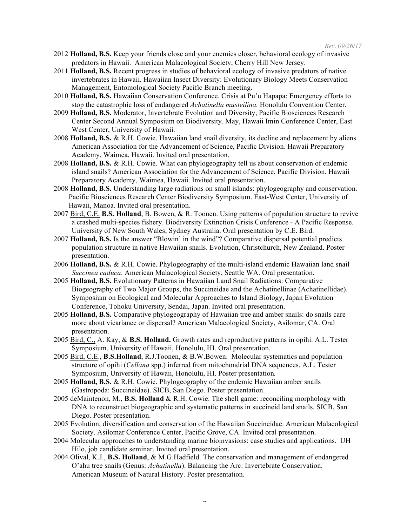- 2012 **Holland, B.S.** Keep your friends close and your enemies closer, behavioral ecology of invasive predators in Hawaii. American Malacological Society, Cherry Hill New Jersey.
- 2011 **Holland, B.S.** Recent progress in studies of behavioral ecology of invasive predators of native invertebrates in Hawaii. Hawaiian Insect Diversity: Evolutionary Biology Meets Conservation Management, Entomological Society Pacific Branch meeting.
- 2010 **Holland, B.S.** Hawaiian Conservation Conference. Crisis at Pu'u Hapapa: Emergency efforts to stop the catastrophic loss of endangered *Achatinella musteilina.* Honolulu Convention Center.
- 2009 **Holland, B.S.** Moderator, Invertebrate Evolution and Diversity, Pacific Biosciences Research Center Second Annual Symposium on Biodiversity. May, Hawaii Imin Conference Center, East West Center, University of Hawaii.
- 2008 **Holland, B.S.** & R.H. Cowie. Hawaiian land snail diversity, its decline and replacement by aliens. American Association for the Advancement of Science, Pacific Division. Hawaii Preparatory Academy, Waimea, Hawaii. Invited oral presentation.
- 2008 **Holland, B.S.** & R.H. Cowie. What can phylogeography tell us about conservation of endemic island snails? American Association for the Advancement of Science, Pacific Division. Hawaii Preparatory Academy, Waimea, Hawaii. Invited oral presentation.
- 2008 **Holland, B.S.** Understanding large radiations on small islands: phylogeography and conservation. Pacific Biosciences Research Center Biodiversity Symposium. East-West Center, University of Hawaii, Manoa. Invited oral presentation.
- 2007 Bird, C.E. **B.S. Holland**, B. Bowen, & R. Toonen. Using patterns of population structure to revive a crashed multi-species fishery. Biodiversity Extinction Crisis Conference - A Pacific Response. University of New South Wales, Sydney Australia. Oral presentation by C.E. Bird.
- 2007 **Holland, B.S.** Is the answer "Blowin' in the wind"? Comparative dispersal potential predicts population structure in native Hawaiian snails. Evolution, Christchurch, New Zealand. Poster presentation.
- 2006 **Holland, B.S.** & R.H. Cowie. Phylogeography of the multi-island endemic Hawaiian land snail *Succinea caduca*. American Malacological Society, Seattle WA. Oral presentation.
- 2005 **Holland, B.S.** Evolutionary Patterns in Hawaiian Land Snail Radiations: Comparative Biogeography of Two Major Groups, the Succineidae and the Achatinellinae (Achatinellidae). Symposium on Ecological and Molecular Approaches to Island Biology, Japan Evolution Conference, Tohoku University, Sendai, Japan. Invited oral presentation.
- 2005 **Holland, B.S.** Comparative phylogeography of Hawaiian tree and amber snails: do snails care more about vicariance or dispersal? American Malacological Society, Asilomar, CA. Oral presentation.
- 2005 Bird, C., A. Kay, & **B.S. Holland.** Growth rates and reproductive patterns in opihi. A.L. Tester Symposium, University of Hawaii, Honolulu, HI. Oral presentation.
- 2005 Bird, C.E., **B.S.Holland**, R.J.Toonen, & B.W.Bowen. Molecular systematics and population structure of opihi (*Cellana* spp.) inferred from mitochondrial DNA sequences. A.L. Tester Symposium, University of Hawaii, Honolulu, HI. Poster presentation*.*
- 2005 **Holland, B.S.** & R.H. Cowie. Phylogeography of the endemic Hawaiian amber snails (Gastropoda: Succineidae). SICB, San Diego. Poster presentation.
- 2005 deMaintenon, M., **B.S. Holland** & R.H. Cowie. The shell game: reconciling morphology with DNA to reconstruct biogeographic and systematic patterns in succineid land snails. SICB, San Diego. Poster presentation.
- 2005 Evolution, diversification and conservation of the Hawaiian Succineidae. American Malacological Society. Asilomar Conference Center, Pacific Grove, CA. Invited oral presentation.
- 2004 Molecular approaches to understanding marine bioinvasions: case studies and applications. UH Hilo, job candidate seminar. Invited oral presentation.
- 2004 Olival, K.J., **B.S. Holland**, & M.G.Hadfield. The conservation and management of endangered O'ahu tree snails (Genus: *Achatinella*). Balancing the Arc: Invertebrate Conservation. American Museum of Natural History. Poster presentation.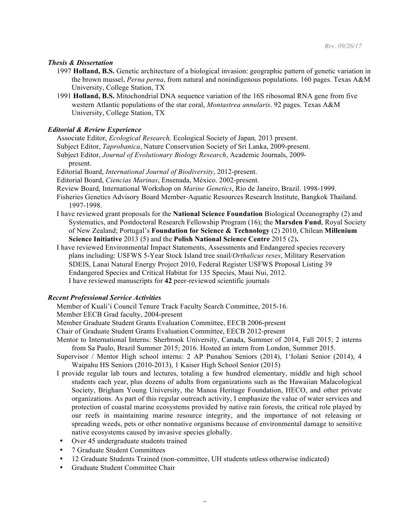# *Thesis & Dissertation*

- 1997 **Holland, B.S.** Genetic architecture of a biological invasion: geographic pattern of genetic variation in the brown mussel, *Perna perna*, from natural and nonindigenous populations. 160 pages. Texas A&M University, College Station, TX
- 1991 **Holland, B.S.** Mitochondrial DNA sequence variation of the 16S ribosomal RNA gene from five western Atlantic populations of the star coral, *Montastrea annularis*. 92 pages. Texas A&M University, College Station, TX

# *Editorial & Review Experience*

Associate Editor, *Ecological Research,* Ecological Society of Japan*,* 2013 present. Subject Editor, *Taprobanica*, Nature Conservation Society of Sri Lanka, 2009-present. Subject Editor, *Journal of Evolutionary Biology Research*, Academic Journals, 2009 present.

Editorial Board, *International Journal of Biodiversity*, 2012-present.

Editorial Board, *Ciencias Marinas*, Ensenada, México. 2002-present.

- Review Board, International Workshop on *Marine Genetics*, Rio de Janeiro, Brazil. 1998-1999.
- Fisheries Genetics Advisory Board Member-Aquatic Resources Research Institute, Bangkok Thailand. 1997-1998.
- I have reviewed grant proposals for the **National Science Foundation** Biological Oceanography (2) and Systematics, and Postdoctoral Research Fellowship Program (16); the **Marsden Fund**, Royal Society of New Zealand; Portugal's **Foundation for Science & Technology** (2) 2010, Chilean **Millenium Science Initiative** 2013 (5) and the **Polish National Science Centre** 2015 (2)**.**
- I have reviewed Environmental Impact Statements, Assessments and Endangered species recovery plans including: USFWS 5-Year Stock Island tree snail/*Orthalicus reses*, Military Reservation SDEIS, Lanai Natural Energy Project 2010, Federal Register USFWS Proposal Listing 39 Endangered Species and Critical Habitat for 135 Species, Maui Nui, 2012. I have reviewed manuscripts for **42** peer-reviewed scientific journals

## *Recent Professional Service Activities*

Member of Kuali'i Council Tenure Track Faculty Search Committee, 2015-16.

- Member EECB Grad faculty, 2004-present
- Member Graduate Student Grants Evaluation Committee, EECB 2006-present

Chair of Graduate Student Grants Evaluation Committee, EECB 2012-present

- Mentor to International Interns: Sherbrook University, Canada, Summer of 2014, Fall 2015; 2 interns from Sa Paulo, Brazil Summer 2015; 2016. Hosted an intern from London, Summer 2015.
- Supervisor / Mentor High school interns: 2 AP Punahou Seniors (2014), 1'Iolani Senior (2014), 4 Waipahu HS Seniors (2010-2013), 1 Kaiser High School Senior (2015)
- I provide regular lab tours and lectures, totaling a few hundred elementary, middle and high school students each year, plus dozens of adults from organizations such as the Hawaiian Malacological Society, Brigham Young University, the Manoa Heritage Foundation, HECO, and other private organizations. As part of this regular outreach activity, I emphasize the value of water services and protection of coastal marine ecosystems provided by native rain forests, the critical role played by our reefs in maintaining marine resource integrity, and the importance of not releasing or spreading weeds, pets or other nonnative organisms because of environmental damage to sensitive native ecosystems caused by invasive species globally.
- Over 45 undergraduate students trained
- 7 Graduate Student Committees
- 12 Graduate Students Trained (non-committee, UH students unless otherwise indicated)
- Graduate Student Committee Chair